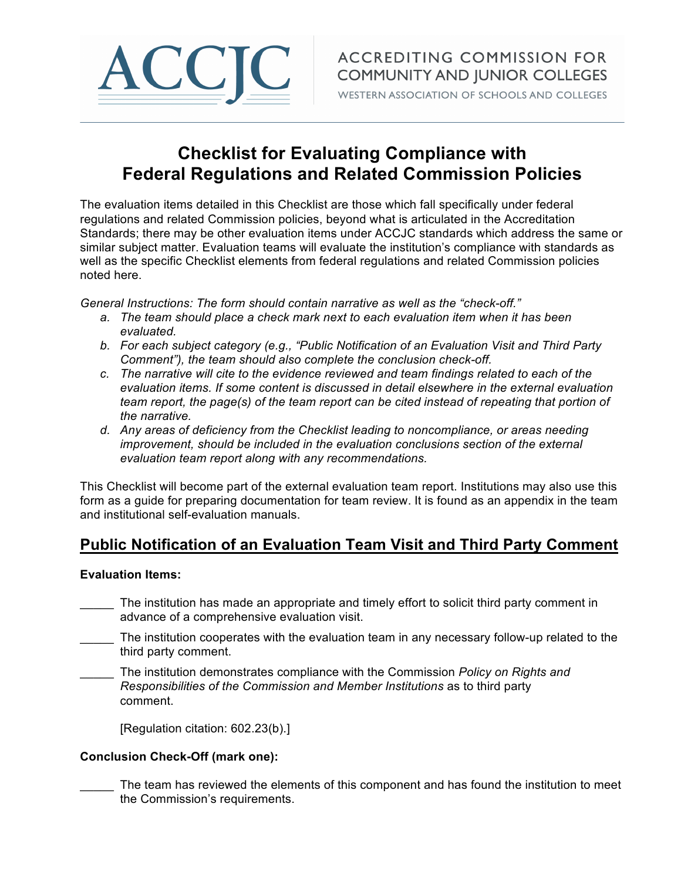

WESTERN ASSOCIATION OF SCHOOLS AND COLLEGES

# **Checklist for Evaluating Compliance with Federal Regulations and Related Commission Policies**

The evaluation items detailed in this Checklist are those which fall specifically under federal regulations and related Commission policies, beyond what is articulated in the Accreditation Standards; there may be other evaluation items under ACCJC standards which address the same or similar subject matter. Evaluation teams will evaluate the institution's compliance with standards as well as the specific Checklist elements from federal regulations and related Commission policies noted here.

*General Instructions: The form should contain narrative as well as the "check-off."* 

- *a. The team should place a check mark next to each evaluation item when it has been evaluated.*
- *b. For each subject category (e.g., "Public Notification of an Evaluation Visit and Third Party Comment"), the team should also complete the conclusion check-off.*
- *c. The narrative will cite to the evidence reviewed and team findings related to each of the evaluation items. If some content is discussed in detail elsewhere in the external evaluation team report, the page(s) of the team report can be cited instead of repeating that portion of the narrative.*
- *d. Any areas of deficiency from the Checklist leading to noncompliance, or areas needing improvement, should be included in the evaluation conclusions section of the external evaluation team report along with any recommendations.*

This Checklist will become part of the external evaluation team report. Institutions may also use this form as a guide for preparing documentation for team review. It is found as an appendix in the team and institutional self-evaluation manuals.

# **Public Notification of an Evaluation Team Visit and Third Party Comment**

# **Evaluation Items:**

- The institution has made an appropriate and timely effort to solicit third party comment in advance of a comprehensive evaluation visit.
- The institution cooperates with the evaluation team in any necessary follow-up related to the third party comment.
- \_\_\_\_\_ The institution demonstrates compliance with the Commission *Policy on Rights and Responsibilities of the Commission and Member Institutions* as to third party comment.

[Regulation citation: 602.23(b).]

# **Conclusion Check-Off (mark one):**

The team has reviewed the elements of this component and has found the institution to meet the Commission's requirements.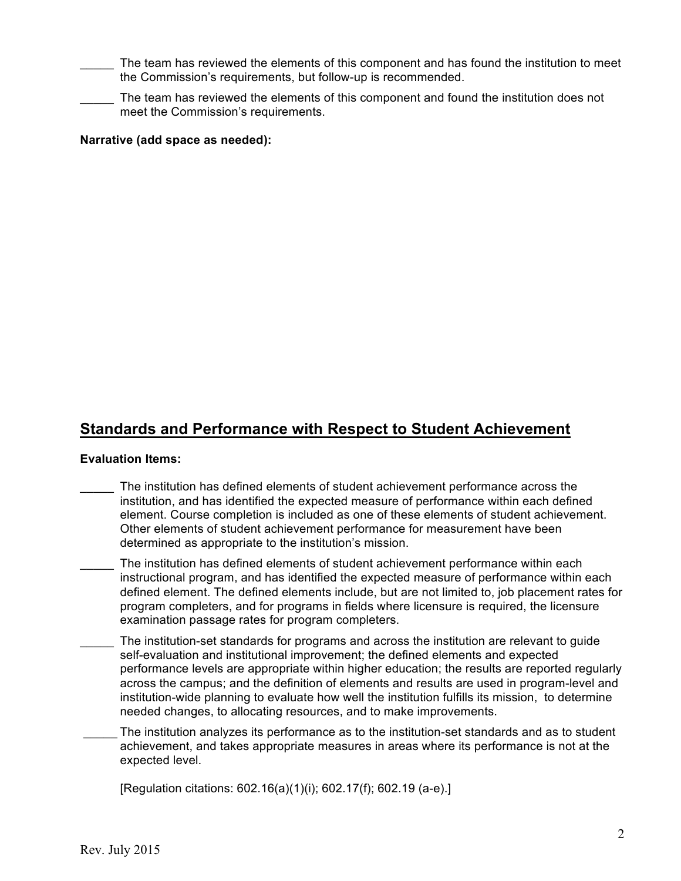The team has reviewed the elements of this component and has found the institution to meet the Commission's requirements, but follow-up is recommended.

The team has reviewed the elements of this component and found the institution does not meet the Commission's requirements.

# **Narrative (add space as needed):**

# **Standards and Performance with Respect to Student Achievement**

### **Evaluation Items:**

- The institution has defined elements of student achievement performance across the institution, and has identified the expected measure of performance within each defined element. Course completion is included as one of these elements of student achievement. Other elements of student achievement performance for measurement have been determined as appropriate to the institution's mission.
- The institution has defined elements of student achievement performance within each instructional program, and has identified the expected measure of performance within each defined element. The defined elements include, but are not limited to, job placement rates for program completers, and for programs in fields where licensure is required, the licensure examination passage rates for program completers.
- The institution-set standards for programs and across the institution are relevant to guide self-evaluation and institutional improvement; the defined elements and expected performance levels are appropriate within higher education; the results are reported regularly across the campus; and the definition of elements and results are used in program-level and institution-wide planning to evaluate how well the institution fulfills its mission, to determine needed changes, to allocating resources, and to make improvements.
- The institution analyzes its performance as to the institution-set standards and as to student achievement, and takes appropriate measures in areas where its performance is not at the expected level.

[Regulation citations: 602.16(a)(1)(i); 602.17(f); 602.19 (a-e).]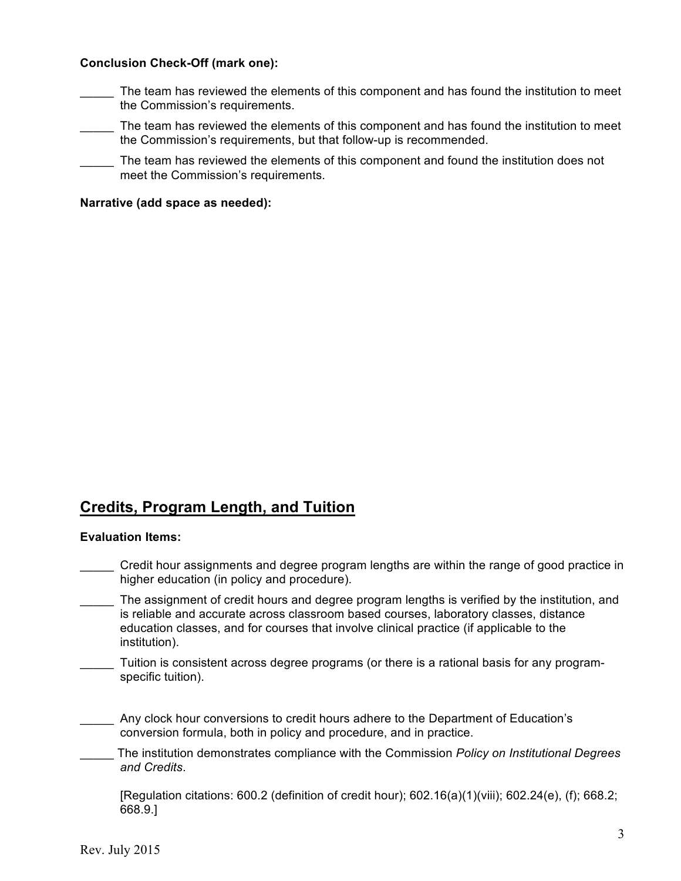## **Conclusion Check-Off (mark one):**

- The team has reviewed the elements of this component and has found the institution to meet the Commission's requirements.
- The team has reviewed the elements of this component and has found the institution to meet the Commission's requirements, but that follow-up is recommended.
- The team has reviewed the elements of this component and found the institution does not meet the Commission's requirements.

## **Narrative (add space as needed):**

# **Credits, Program Length, and Tuition**

#### **Evaluation Items:**

- \_\_\_\_\_ Credit hour assignments and degree program lengths are within the range of good practice in higher education (in policy and procedure).
- The assignment of credit hours and degree program lengths is verified by the institution, and is reliable and accurate across classroom based courses, laboratory classes, distance education classes, and for courses that involve clinical practice (if applicable to the institution).
- Tuition is consistent across degree programs (or there is a rational basis for any programspecific tuition).
- \_\_\_\_\_ Any clock hour conversions to credit hours adhere to the Department of Education's conversion formula, both in policy and procedure, and in practice.
- \_\_\_\_\_ The institution demonstrates compliance with the Commission *Policy on Institutional Degrees and Credits*.

[Regulation citations: 600.2 (definition of credit hour); 602.16(a)(1)(viii); 602.24(e), (f); 668.2; 668.9.]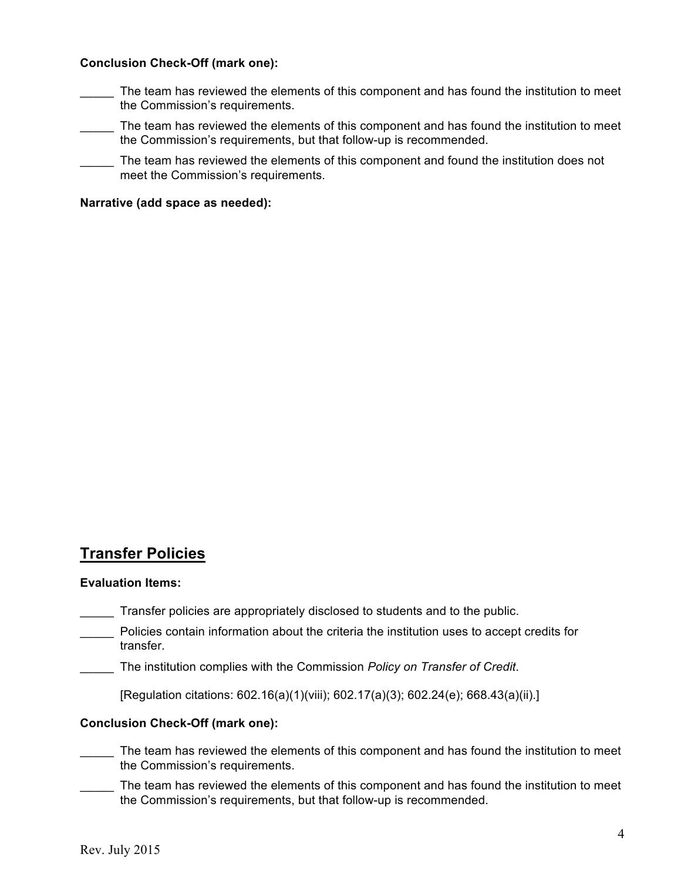## **Conclusion Check-Off (mark one):**

- The team has reviewed the elements of this component and has found the institution to meet the Commission's requirements.
- The team has reviewed the elements of this component and has found the institution to meet the Commission's requirements, but that follow-up is recommended.
- The team has reviewed the elements of this component and found the institution does not meet the Commission's requirements.

## **Narrative (add space as needed):**

# **Transfer Policies**

#### **Evaluation Items:**

- \_\_\_\_\_ Transfer policies are appropriately disclosed to students and to the public.
- Policies contain information about the criteria the institution uses to accept credits for transfer.
	- \_\_\_\_\_ The institution complies with the Commission *Policy on Transfer of Credit*.

[Regulation citations: 602.16(a)(1)(viii); 602.17(a)(3); 602.24(e); 668.43(a)(ii).]

### **Conclusion Check-Off (mark one):**

- The team has reviewed the elements of this component and has found the institution to meet the Commission's requirements.
- The team has reviewed the elements of this component and has found the institution to meet the Commission's requirements, but that follow-up is recommended.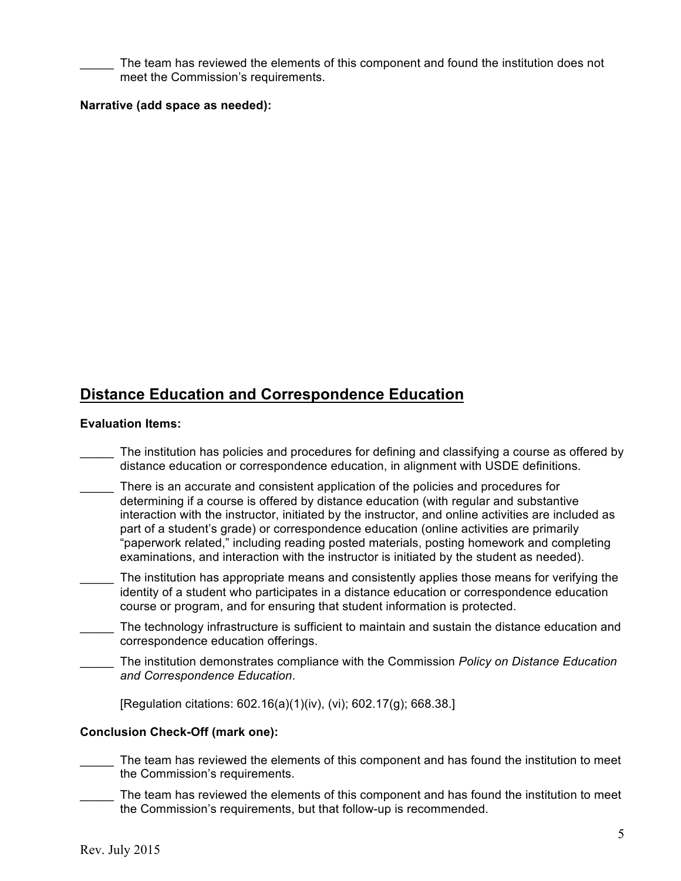The team has reviewed the elements of this component and found the institution does not meet the Commission's requirements.

## **Narrative (add space as needed):**

# **Distance Education and Correspondence Education**

#### **Evaluation Items:**

- \_\_\_\_\_ The institution has policies and procedures for defining and classifying a course as offered by distance education or correspondence education, in alignment with USDE definitions.
- There is an accurate and consistent application of the policies and procedures for determining if a course is offered by distance education (with regular and substantive interaction with the instructor, initiated by the instructor, and online activities are included as part of a student's grade) or correspondence education (online activities are primarily "paperwork related," including reading posted materials, posting homework and completing examinations, and interaction with the instructor is initiated by the student as needed).
- The institution has appropriate means and consistently applies those means for verifying the identity of a student who participates in a distance education or correspondence education course or program, and for ensuring that student information is protected.
- The technology infrastructure is sufficient to maintain and sustain the distance education and correspondence education offerings.
- \_\_\_\_\_ The institution demonstrates compliance with the Commission *Policy on Distance Education and Correspondence Education*.

[Regulation citations: 602.16(a)(1)(iv), (vi); 602.17(g); 668.38.]

### **Conclusion Check-Off (mark one):**

- The team has reviewed the elements of this component and has found the institution to meet the Commission's requirements.
- The team has reviewed the elements of this component and has found the institution to meet the Commission's requirements, but that follow-up is recommended.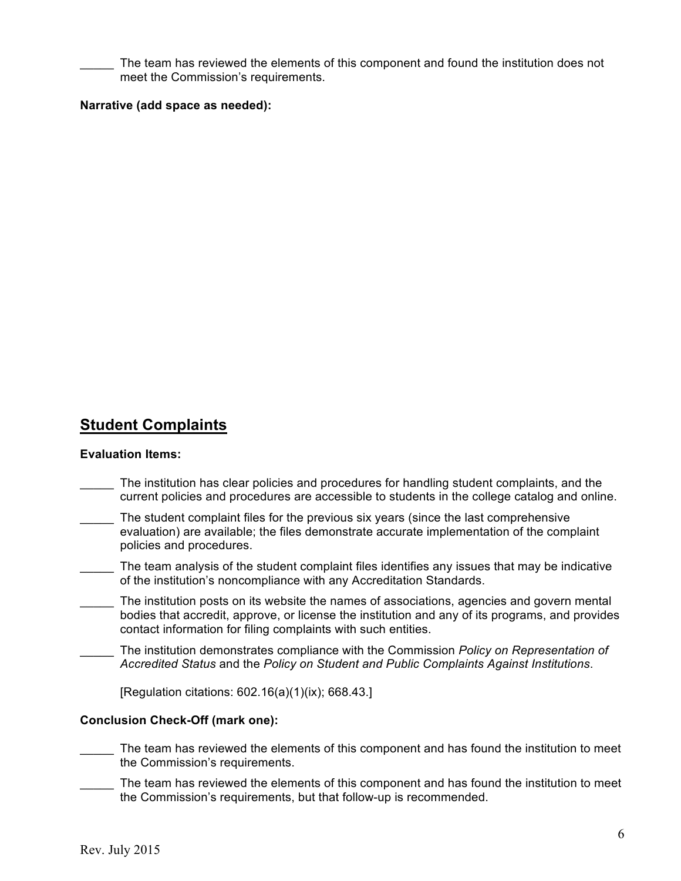The team has reviewed the elements of this component and found the institution does not meet the Commission's requirements.

## **Narrative (add space as needed):**

# **Student Complaints**

#### **Evaluation Items:**

- The institution has clear policies and procedures for handling student complaints, and the current policies and procedures are accessible to students in the college catalog and online.
- The student complaint files for the previous six years (since the last comprehensive evaluation) are available; the files demonstrate accurate implementation of the complaint policies and procedures.
- \_\_\_\_\_ The team analysis of the student complaint files identifies any issues that may be indicative of the institution's noncompliance with any Accreditation Standards.
- The institution posts on its website the names of associations, agencies and govern mental bodies that accredit, approve, or license the institution and any of its programs, and provides contact information for filing complaints with such entities.
- \_\_\_\_\_ The institution demonstrates compliance with the Commission *Policy on Representation of Accredited Status* and the *Policy on Student and Public Complaints Against Institutions*.

[Regulation citations: 602.16(a)(1)(ix); 668.43.]

### **Conclusion Check-Off (mark one):**

- The team has reviewed the elements of this component and has found the institution to meet the Commission's requirements.
- The team has reviewed the elements of this component and has found the institution to meet the Commission's requirements, but that follow-up is recommended.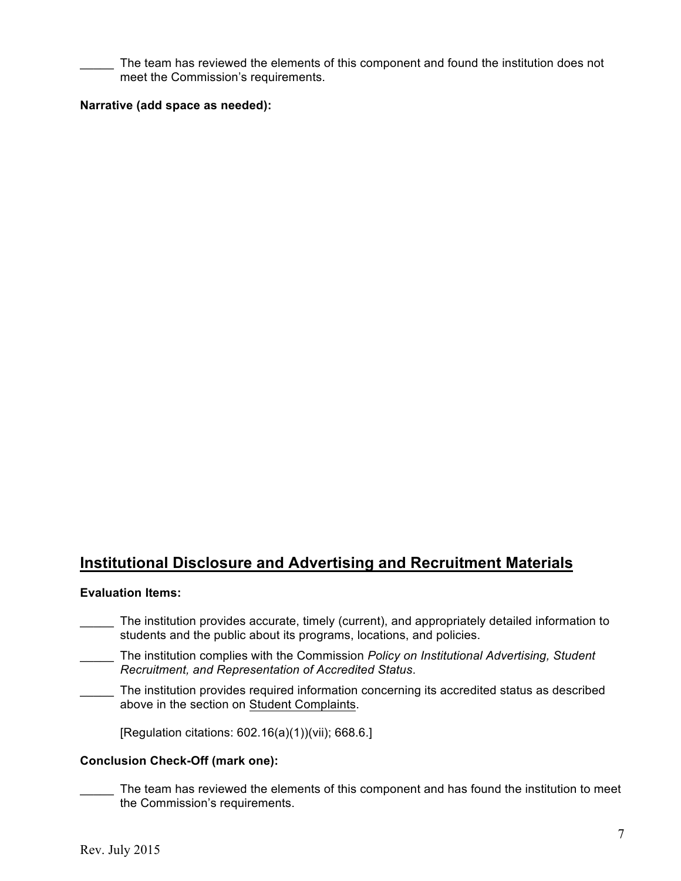The team has reviewed the elements of this component and found the institution does not meet the Commission's requirements.

## **Narrative (add space as needed):**

# **Institutional Disclosure and Advertising and Recruitment Materials**

#### **Evaluation Items:**

- The institution provides accurate, timely (current), and appropriately detailed information to students and the public about its programs, locations, and policies.
- \_\_\_\_\_ The institution complies with the Commission *Policy on Institutional Advertising, Student Recruitment, and Representation of Accredited Status*.
- The institution provides required information concerning its accredited status as described above in the section on Student Complaints.

[Regulation citations: 602.16(a)(1))(vii); 668.6.]

### **Conclusion Check-Off (mark one):**

The team has reviewed the elements of this component and has found the institution to meet the Commission's requirements.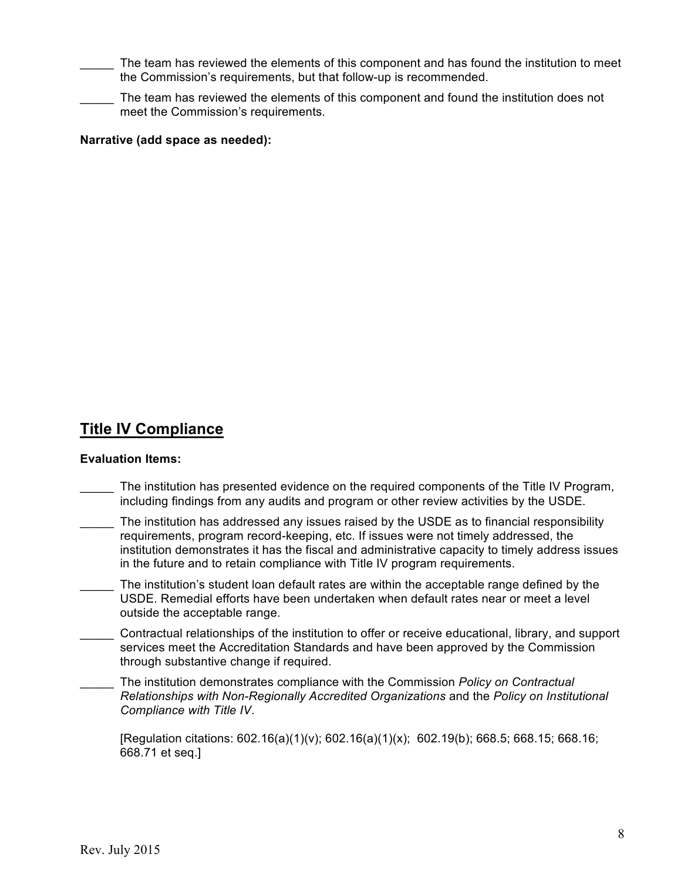The team has reviewed the elements of this component and has found the institution to meet the Commission's requirements, but that follow-up is recommended.

The team has reviewed the elements of this component and found the institution does not meet the Commission's requirements.

# **Narrative (add space as needed):**

# **Title IV Compliance**

### **Evaluation Items:**

- The institution has presented evidence on the required components of the Title IV Program, including findings from any audits and program or other review activities by the USDE.
- The institution has addressed any issues raised by the USDE as to financial responsibility requirements, program record-keeping, etc. If issues were not timely addressed, the institution demonstrates it has the fiscal and administrative capacity to timely address issues in the future and to retain compliance with Title IV program requirements.
- The institution's student loan default rates are within the acceptable range defined by the USDE. Remedial efforts have been undertaken when default rates near or meet a level outside the acceptable range.
- \_\_\_\_\_ Contractual relationships of the institution to offer or receive educational, library, and support services meet the Accreditation Standards and have been approved by the Commission through substantive change if required.
- \_\_\_\_\_ The institution demonstrates compliance with the Commission *Policy on Contractual Relationships with Non-Regionally Accredited Organizations* and the *Policy on Institutional Compliance with Title IV*.

 $[Regularation citations: 602.16(a)(1)(y); 602.16(a)(1)(x); 602.19(b); 668.5; 668.15; 668.16;$ 668.71 et seq.]